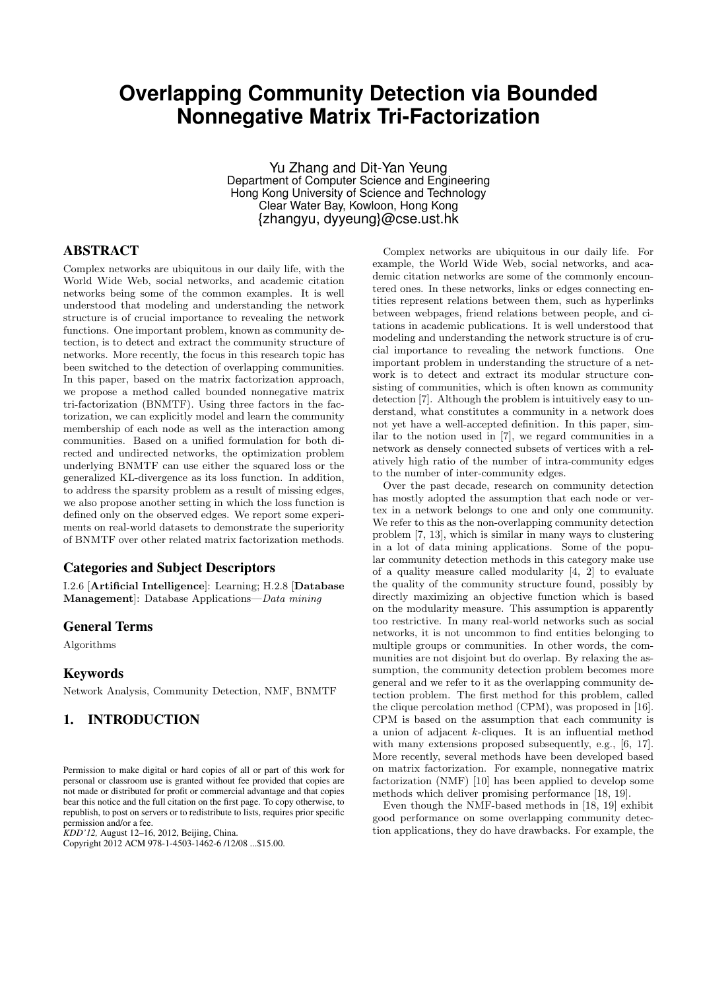# **Overlapping Community Detection via Bounded Nonnegative Matrix Tri-Factorization**

Yu Zhang and Dit-Yan Yeung Department of Computer Science and Engineering Hong Kong University of Science and Technology Clear Water Bay, Kowloon, Hong Kong {zhangyu, dyyeung}@cse.ust.hk

# ABSTRACT

Complex networks are ubiquitous in our daily life, with the World Wide Web, social networks, and academic citation networks being some of the common examples. It is well understood that modeling and understanding the network structure is of crucial importance to revealing the network functions. One important problem, known as community detection, is to detect and extract the community structure of networks. More recently, the focus in this research topic has been switched to the detection of overlapping communities. In this paper, based on the matrix factorization approach, we propose a method called bounded nonnegative matrix tri-factorization (BNMTF). Using three factors in the factorization, we can explicitly model and learn the community membership of each node as well as the interaction among communities. Based on a unified formulation for both directed and undirected networks, the optimization problem underlying BNMTF can use either the squared loss or the generalized KL-divergence as its loss function. In addition, to address the sparsity problem as a result of missing edges, we also propose another setting in which the loss function is defined only on the observed edges. We report some experiments on real-world datasets to demonstrate the superiority of BNMTF over other related matrix factorization methods.

# Categories and Subject Descriptors

I.2.6 [Artificial Intelligence]: Learning; H.2.8 [Database Management]: Database Applications—*Data mining*

# General Terms

Algorithms

#### Keywords

Network Analysis, Community Detection, NMF, BNMTF

# 1. INTRODUCTION

*KDD'12,* August 12–16, 2012, Beijing, China.

Copyright 2012 ACM 978-1-4503-1462-6 /12/08 ...\$15.00.

Complex networks are ubiquitous in our daily life. For example, the World Wide Web, social networks, and academic citation networks are some of the commonly encountered ones. In these networks, links or edges connecting entities represent relations between them, such as hyperlinks between webpages, friend relations between people, and citations in academic publications. It is well understood that modeling and understanding the network structure is of crucial importance to revealing the network functions. One important problem in understanding the structure of a network is to detect and extract its modular structure consisting of communities, which is often known as community detection [7]. Although the problem is intuitively easy to understand, what constitutes a community in a network does not yet have a well-accepted definition. In this paper, similar to the notion used in [7], we regard communities in a network as densely connected subsets of vertices with a relatively high ratio of the number of intra-community edges to the number of inter-community edges.

Over the past decade, research on community detection has mostly adopted the assumption that each node or vertex in a network belongs to one and only one community. We refer to this as the non-overlapping community detection problem [7, 13], which is similar in many ways to clustering in a lot of data mining applications. Some of the popular community detection methods in this category make use of a quality measure called modularity [4, 2] to evaluate the quality of the community structure found, possibly by directly maximizing an objective function which is based on the modularity measure. This assumption is apparently too restrictive. In many real-world networks such as social networks, it is not uncommon to find entities belonging to multiple groups or communities. In other words, the communities are not disjoint but do overlap. By relaxing the assumption, the community detection problem becomes more general and we refer to it as the overlapping community detection problem. The first method for this problem, called the clique percolation method (CPM), was proposed in [16]. CPM is based on the assumption that each community is a union of adjacent k-cliques. It is an influential method with many extensions proposed subsequently, e.g., [6, 17]. More recently, several methods have been developed based on matrix factorization. For example, nonnegative matrix factorization (NMF) [10] has been applied to develop some methods which deliver promising performance [18, 19].

Even though the NMF-based methods in [18, 19] exhibit good performance on some overlapping community detection applications, they do have drawbacks. For example, the

Permission to make digital or hard copies of all or part of this work for personal or classroom use is granted without fee provided that copies are not made or distributed for profit or commercial advantage and that copies bear this notice and the full citation on the first page. To copy otherwise, to republish, to post on servers or to redistribute to lists, requires prior specific permission and/or a fee.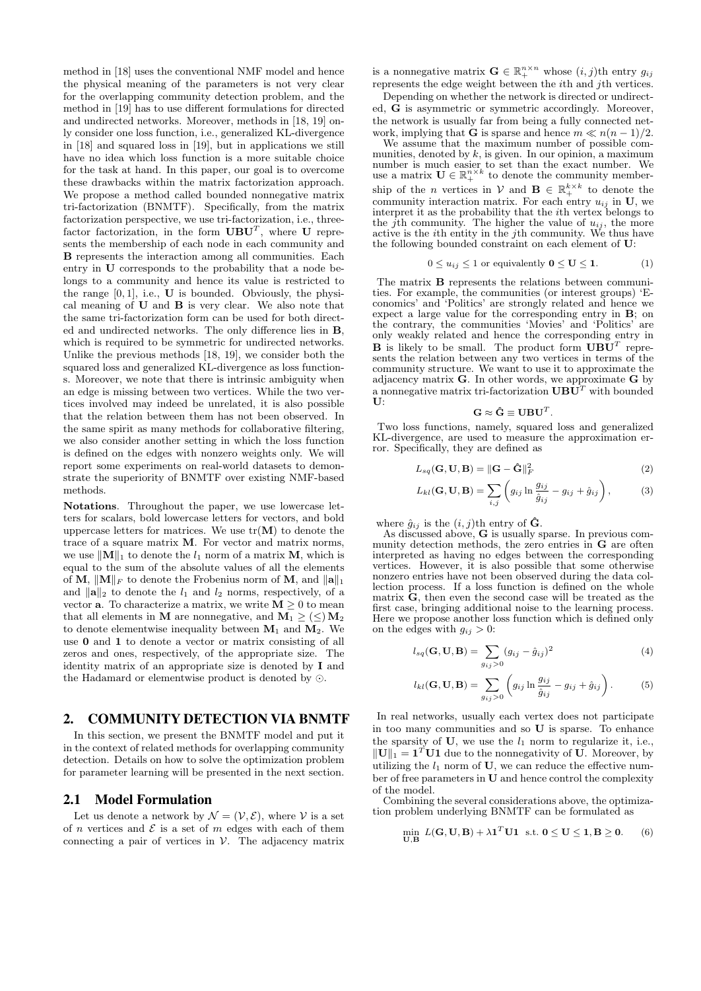method in [18] uses the conventional NMF model and hence the physical meaning of the parameters is not very clear for the overlapping community detection problem, and the method in [19] has to use different formulations for directed and undirected networks. Moreover, methods in [18, 19] only consider one loss function, i.e., generalized KL-divergence in [18] and squared loss in [19], but in applications we still have no idea which loss function is a more suitable choice for the task at hand. In this paper, our goal is to overcome these drawbacks within the matrix factorization approach. We propose a method called bounded nonnegative matrix tri-factorization (BNMTF). Specifically, from the matrix factorization perspective, we use tri-factorization, i.e., threefactor factorization, in the form  $UBU<sup>T</sup>$ , where U represents the membership of each node in each community and B represents the interaction among all communities. Each entry in U corresponds to the probability that a node belongs to a community and hence its value is restricted to the range  $[0, 1]$ , i.e., **U** is bounded. Obviously, the physical meaning of U and B is very clear. We also note that the same tri-factorization form can be used for both directed and undirected networks. The only difference lies in B, which is required to be symmetric for undirected networks. Unlike the previous methods [18, 19], we consider both the squared loss and generalized KL-divergence as loss functions. Moreover, we note that there is intrinsic ambiguity when an edge is missing between two vertices. While the two vertices involved may indeed be unrelated, it is also possible that the relation between them has not been observed. In the same spirit as many methods for collaborative filtering, we also consider another setting in which the loss function is defined on the edges with nonzero weights only. We will report some experiments on real-world datasets to demonstrate the superiority of BNMTF over existing NMF-based methods.

Notations. Throughout the paper, we use lowercase letters for scalars, bold lowercase letters for vectors, and bold uppercase letters for matrices. We use  $tr(M)$  to denote the trace of a square matrix M. For vector and matrix norms, we use  $\|\mathbf{M}\|_1$  to denote the  $l_1$  norm of a matrix **M**, which is equal to the sum of the absolute values of all the elements of M,  $\|\mathbf{M}\|_F$  to denote the Frobenius norm of M, and  $\|\mathbf{a}\|_1$ and  $\|\mathbf{a}\|_2$  to denote the  $l_1$  and  $l_2$  norms, respectively, of a vector **a**. To characterize a matrix, we write  $M \geq 0$  to mean that all elements in M are nonnegative, and  $M_1 \geq (\leq) M_2$ to denote elementwise inequality between  $M_1$  and  $M_2$ . We use 0 and 1 to denote a vector or matrix consisting of all zeros and ones, respectively, of the appropriate size. The identity matrix of an appropriate size is denoted by I and the Hadamard or elementwise product is denoted by ⊙.

# 2. COMMUNITY DETECTION VIA BNMTF

In this section, we present the BNMTF model and put it in the context of related methods for overlapping community detection. Details on how to solve the optimization problem for parameter learning will be presented in the next section.

#### 2.1 Model Formulation

Let us denote a network by  $\mathcal{N} = (\mathcal{V}, \mathcal{E})$ , where  $\mathcal{V}$  is a set of n vertices and  $\mathcal E$  is a set of m edges with each of them connecting a pair of vertices in  $\mathcal V$ . The adjacency matrix

is a nonnegative matrix  $\mathbf{G} \in \mathbb{R}_+^{n \times n}$  whose  $(i, j)$ th entry  $g_{ij}$ represents the edge weight between the ith and jth vertices.

Depending on whether the network is directed or undirected, G is asymmetric or symmetric accordingly. Moreover, the network is usually far from being a fully connected network, implying that **G** is sparse and hence  $m \ll n(n-1)/2$ .

We assume that the maximum number of possible communities, denoted by  $k$ , is given. In our opinion, a maximum number is much easier to set than the exact number. We use a matrix  $\mathbf{U} \in \mathbb{R}^{n \times k}_+$  to denote the community membership of the *n* vertices in  $V$  and  $B \in \mathbb{R}^{k \times k}_+$  to denote the community interaction matrix. For each entry  $u_{ij}$  in U, we interpret it as the probability that the ith vertex belongs to the j<sup>th</sup> community. The higher the value of  $u_{ij}$ , the more active is the ith entity in the jth community. We thus have the following bounded constraint on each element of U:

$$
0 \le u_{ij} \le 1 \text{ or equivalently } 0 \le U \le 1. \tag{1}
$$

The matrix B represents the relations between communities. For example, the communities (or interest groups) 'Economics' and 'Politics' are strongly related and hence we expect a large value for the corresponding entry in B; on the contrary, the communities 'Movies' and 'Politics' are only weakly related and hence the corresponding entry in **B** is likely to be small. The product form  $UBU<sup>T</sup>$  represents the relation between any two vertices in terms of the community structure. We want to use it to approximate the adjacency matrix  $G$ . In other words, we approximate  $G$  by a nonnegative matrix tri-factorization  $\mathbf{UBU}^T$  with bounded U:

$$
\mathbf{G} \approx \mathbf{\hat{G}} \equiv \mathbf{U} \mathbf{B} \mathbf{U}^T
$$

Two loss functions, namely, squared loss and generalized KL-divergence, are used to measure the approximation error. Specifically, they are defined as

$$
L_{sq}(\mathbf{G}, \mathbf{U}, \mathbf{B}) = ||\mathbf{G} - \hat{\mathbf{G}}||_F^2
$$
 (2)

.

$$
L_{kl}(\mathbf{G}, \mathbf{U}, \mathbf{B}) = \sum_{i,j} \left( g_{ij} \ln \frac{g_{ij}}{\hat{g}_{ij}} - g_{ij} + \hat{g}_{ij} \right),\tag{3}
$$

where  $\hat{g}_{ij}$  is the  $(i, j)$ th entry of  $\hat{G}$ .

As discussed above, G is usually sparse. In previous community detection methods, the zero entries in G are often interpreted as having no edges between the corresponding vertices. However, it is also possible that some otherwise nonzero entries have not been observed during the data collection process. If a loss function is defined on the whole matrix  $\hat{G}$ , then even the second case will be treated as the first case, bringing additional noise to the learning process. Here we propose another loss function which is defined only on the edges with  $g_{ij} > 0$ :

$$
l_{sq}(\mathbf{G}, \mathbf{U}, \mathbf{B}) = \sum_{g_{ij} > 0} (g_{ij} - \hat{g}_{ij})^2
$$
 (4)

$$
l_{kl}(\mathbf{G}, \mathbf{U}, \mathbf{B}) = \sum_{g_{ij} > 0} \left( g_{ij} \ln \frac{g_{ij}}{\hat{g}_{ij}} - g_{ij} + \hat{g}_{ij} \right). \tag{5}
$$

In real networks, usually each vertex does not participate in too many communities and so U is sparse. To enhance the sparsity of  $U$ , we use the  $l_1$  norm to regularize it, i.e.,  $\|\mathbf{U}\|_1 = \mathbf{1}^T \mathbf{U} \mathbf{1}$  due to the nonnegativity of U. Moreover, by utilizing the  $l_1$  norm of U, we can reduce the effective number of free parameters in U and hence control the complexity of the model.

Combining the several considerations above, the optimization problem underlying BNMTF can be formulated as

$$
\min_{\mathbf{U}, \mathbf{B}} L(\mathbf{G}, \mathbf{U}, \mathbf{B}) + \lambda \mathbf{1}^T \mathbf{U} \mathbf{1} \text{ s.t. } \mathbf{0} \le \mathbf{U} \le \mathbf{1}, \mathbf{B} \ge \mathbf{0}. \tag{6}
$$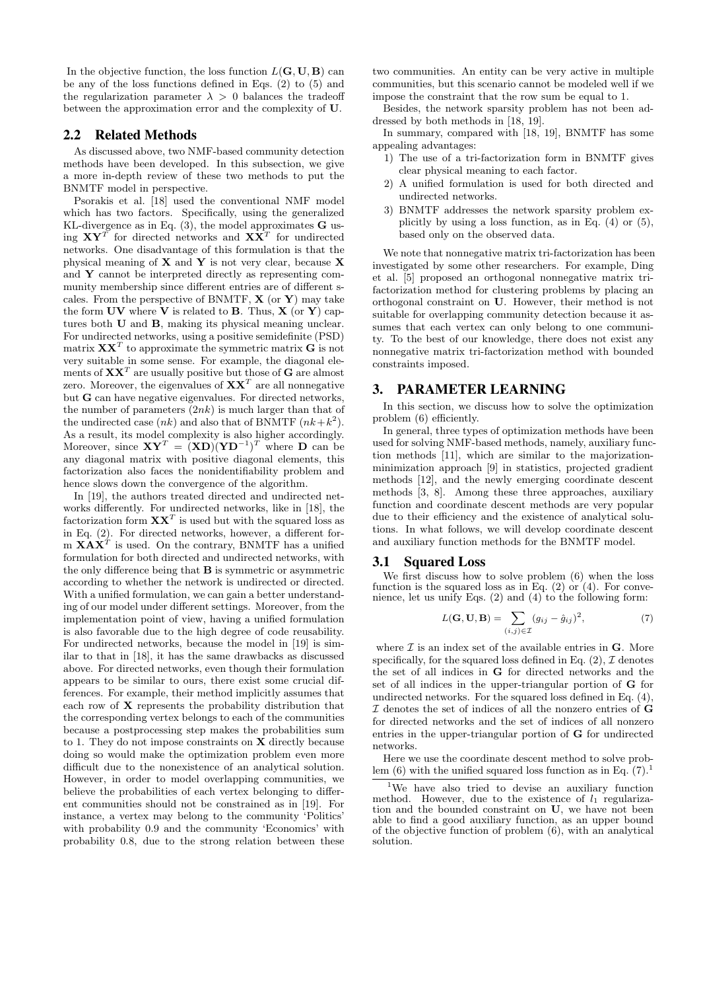In the objective function, the loss function  $L(G, U, B)$  can be any of the loss functions defined in Eqs. (2) to (5) and the regularization parameter  $\lambda > 0$  balances the tradeoff between the approximation error and the complexity of U.

#### 2.2 Related Methods

As discussed above, two NMF-based community detection methods have been developed. In this subsection, we give a more in-depth review of these two methods to put the BNMTF model in perspective.

Psorakis et al. [18] used the conventional NMF model which has two factors. Specifically, using the generalized KL-divergence as in Eq.  $(3)$ , the model approximates **G** using  $XY^T$  for directed networks and  $X\overline{X}^T$  for undirected networks. One disadvantage of this formulation is that the physical meaning of  $X$  and  $Y$  is not very clear, because  $X$ and Y cannot be interpreted directly as representing community membership since different entries are of different scales. From the perspective of BNMTF,  $X$  (or  $Y$ ) may take the form  $UV$  where V is related to B. Thus,  $X$  (or Y) captures both U and B, making its physical meaning unclear. For undirected networks, using a positive semidefinite (PSD) matrix  $\mathbf{X} \mathbf{X}^T$  to approximate the symmetric matrix  $\mathbf{G}$  is not very suitable in some sense. For example, the diagonal elements of  $\mathbf{X} \mathbf{X}^T$  are usually positive but those of  $\mathbf G$  are almost zero. Moreover, the eigenvalues of  $\mathbf{X} \mathbf{X}^T$  are all nonnegative but G can have negative eigenvalues. For directed networks, the number of parameters  $(2nk)$  is much larger than that of the undirected case  $(nk)$  and also that of BNMTF  $(nk+k^2)$ . As a result, its model complexity is also higher accordingly. Moreover, since  $XY^T = (XD)(YD^{-1})^T$  where D can be any diagonal matrix with positive diagonal elements, this factorization also faces the nonidentifiability problem and hence slows down the convergence of the algorithm.

In [19], the authors treated directed and undirected networks differently. For undirected networks, like in [18], the factorization form  $\mathbf{X} \mathbf{X}^T$  is used but with the squared loss as in Eq. (2). For directed networks, however, a different form  $\mathbf{X} \mathbf{A} \mathbf{X}^T$  is used. On the contrary, BNMTF has a unified formulation for both directed and undirected networks, with the only difference being that B is symmetric or asymmetric according to whether the network is undirected or directed. With a unified formulation, we can gain a better understanding of our model under different settings. Moreover, from the implementation point of view, having a unified formulation is also favorable due to the high degree of code reusability. For undirected networks, because the model in [19] is similar to that in [18], it has the same drawbacks as discussed above. For directed networks, even though their formulation appears to be similar to ours, there exist some crucial differences. For example, their method implicitly assumes that each row of X represents the probability distribution that the corresponding vertex belongs to each of the communities because a postprocessing step makes the probabilities sum to 1. They do not impose constraints on X directly because doing so would make the optimization problem even more difficult due to the nonexistence of an analytical solution. However, in order to model overlapping communities, we believe the probabilities of each vertex belonging to different communities should not be constrained as in [19]. For instance, a vertex may belong to the community 'Politics' with probability 0.9 and the community 'Economics' with probability 0.8, due to the strong relation between these

two communities. An entity can be very active in multiple communities, but this scenario cannot be modeled well if we impose the constraint that the row sum be equal to 1.

Besides, the network sparsity problem has not been addressed by both methods in [18, 19].

- In summary, compared with [18, 19], BNMTF has some appealing advantages:
	- 1) The use of a tri-factorization form in BNMTF gives clear physical meaning to each factor.
	- 2) A unified formulation is used for both directed and undirected networks.
	- 3) BNMTF addresses the network sparsity problem explicitly by using a loss function, as in Eq. (4) or (5), based only on the observed data.

We note that nonnegative matrix tri-factorization has been investigated by some other researchers. For example, Ding et al. [5] proposed an orthogonal nonnegative matrix trifactorization method for clustering problems by placing an orthogonal constraint on U. However, their method is not suitable for overlapping community detection because it assumes that each vertex can only belong to one community. To the best of our knowledge, there does not exist any nonnegative matrix tri-factorization method with bounded constraints imposed.

## 3. PARAMETER LEARNING

In this section, we discuss how to solve the optimization problem (6) efficiently.

In general, three types of optimization methods have been used for solving NMF-based methods, namely, auxiliary function methods [11], which are similar to the majorizationminimization approach [9] in statistics, projected gradient methods [12], and the newly emerging coordinate descent methods [3, 8]. Among these three approaches, auxiliary function and coordinate descent methods are very popular due to their efficiency and the existence of analytical solutions. In what follows, we will develop coordinate descent and auxiliary function methods for the BNMTF model.

#### 3.1 Squared Loss

We first discuss how to solve problem (6) when the loss function is the squared loss as in Eq.  $(2)$  or  $(4)$ . For convenience, let us unify Eqs.  $(2)$  and  $(4)$  to the following form:

$$
L(\mathbf{G}, \mathbf{U}, \mathbf{B}) = \sum_{(i,j) \in \mathcal{I}} (g_{ij} - \hat{g}_{ij})^2,
$$
 (7)

where  $\mathcal I$  is an index set of the available entries in  $G$ . More specifically, for the squared loss defined in Eq.  $(2)$ ,  $\mathcal{I}$  denotes the set of all indices in G for directed networks and the set of all indices in the upper-triangular portion of G for undirected networks. For the squared loss defined in Eq. (4),  ${\mathcal I}$  denotes the set of indices of all the nonzero entries of  ${\mathbf G}$ for directed networks and the set of indices of all nonzero entries in the upper-triangular portion of G for undirected networks.

Here we use the coordinate descent method to solve problem (6) with the unified squared loss function as in Eq.  $(7)^1$ .

<sup>&</sup>lt;sup>1</sup>We have also tried to devise an auxiliary function method. However, due to the existence of  $l_1$  regulariza-However, due to the existence of  $l_1$  regularization and the bounded constraint on U, we have not been able to find a good auxiliary function, as an upper bound of the objective function of problem (6), with an analytical solution.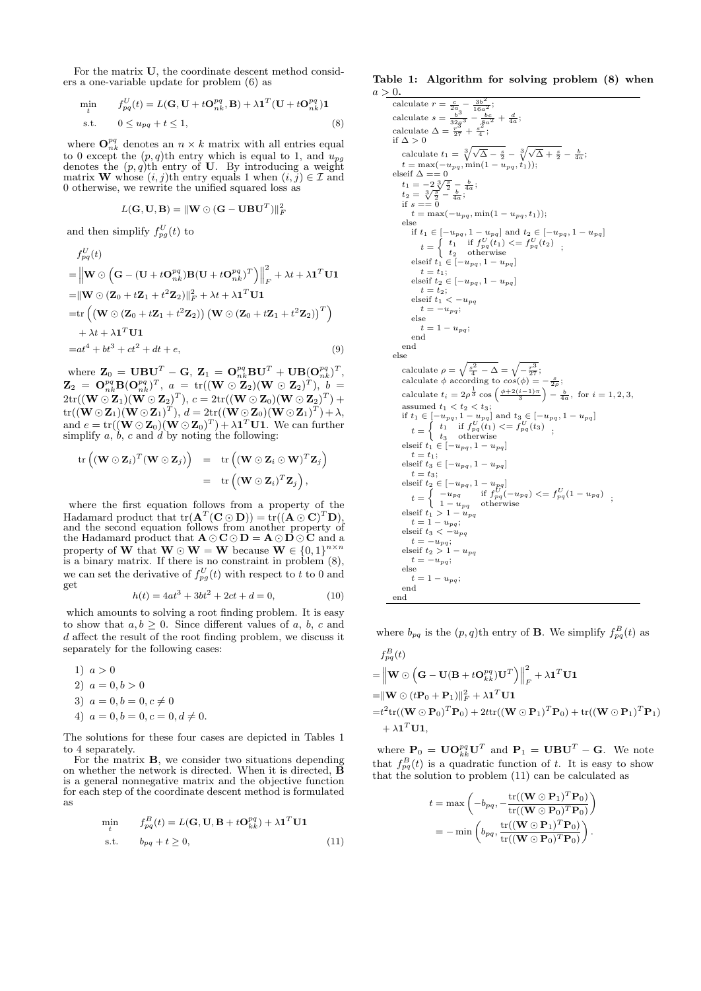For the matrix U, the coordinate descent method considers a one-variable update for problem (6) as

$$
\begin{aligned}\n\min_{t} \qquad & f_{pq}^{U}(t) = L(\mathbf{G}, \mathbf{U} + t\mathbf{O}_{nk}^{pq}, \mathbf{B}) + \lambda \mathbf{1}^{T}(\mathbf{U} + t\mathbf{O}_{nk}^{pq})\mathbf{1} \\
\text{s.t.} \qquad & 0 \le u_{pq} + t \le 1,\n\end{aligned} \tag{8}
$$

where  $\mathbf{O}^{pq}_{nk}$  denotes an  $n \times k$  matrix with all entries equal to 0 except the  $(p, q)$ th entry which is equal to 1, and  $u_{pg}$ denotes the  $(p, q)$ th entry of U. By introducing a weight matrix **W** whose  $(i, j)$ th entry equals 1 when  $(i, j) \in \mathcal{I}$  and 0 otherwise, we rewrite the unified squared loss as

$$
L(\mathbf{G},\mathbf{U},\mathbf{B}) = \|\mathbf{W} \odot (\mathbf{G} - \mathbf{U} \mathbf{B} \mathbf{U}^T)\|_F^2
$$

and then simplify  $f_{pg}^U(t)$  to

$$
f_{pq}^{U}(t)
$$
\n
$$
= \left\| \mathbf{W} \odot \left( \mathbf{G} - (\mathbf{U} + t\mathbf{O}_{nk}^{pq}) \mathbf{B} (\mathbf{U} + t\mathbf{O}_{nk}^{pq})^{T} \right) \right\|_{F}^{2} + \lambda t + \lambda \mathbf{1}^{T} \mathbf{U} \mathbf{1}
$$
\n
$$
= \left\| \mathbf{W} \odot (\mathbf{Z}_{0} + t\mathbf{Z}_{1} + t^{2} \mathbf{Z}_{2}) \right\|_{F}^{2} + \lambda t + \lambda \mathbf{1}^{T} \mathbf{U} \mathbf{1}
$$
\n
$$
= \text{tr} \left( (\mathbf{W} \odot (\mathbf{Z}_{0} + t\mathbf{Z}_{1} + t^{2} \mathbf{Z}_{2})) (\mathbf{W} \odot (\mathbf{Z}_{0} + t\mathbf{Z}_{1} + t^{2} \mathbf{Z}_{2}))^{T} \right)
$$
\n
$$
+ \lambda t + \lambda \mathbf{1}^{T} \mathbf{U} \mathbf{1}
$$
\n
$$
= at^{4} + bt^{3} + ct^{2} + dt + e,
$$
\n(9)

where  $\mathbf{Z}_0 = \mathbf{UBU}^T - \mathbf{G}, \ \mathbf{Z}_1 = \mathbf{O}_{nk}^{pq} \mathbf{BU}^T + \mathbf{UB} (\mathbf{O}_{nk}^{pq})^T,$  ${\bf Z}_2 \; = \; {\bf O}^{pq}_{nk} {\bf B} ({\bf O}^{pq}_{nk})^T , \; a \; = \; {\hbox{tr}}(({\bf W} \, \odot \, {\bf Z}_2)({\bf W} \, \odot \, {\bf Z}_2)^T), \; b \; =$  $2\mathrm{tr}((\mathbf{W} \odot \mathbf{Z}_1)(\mathbf{W} \odot \mathbf{Z}_2)^T), \, c = 2\mathrm{tr}((\mathbf{W} \odot \mathbf{Z}_0)(\mathbf{W} \odot \mathbf{Z}_2)^T) +$  $\mathrm{tr}((\mathbf{W} \odot \mathbf{Z}_1)(\mathbf{W} \odot \mathbf{Z}_1)^T), \, d = 2\mathrm{tr}((\mathbf{W} \odot \mathbf{Z}_0)(\mathbf{W} \odot \mathbf{Z}_1)^T) + \lambda,$ and  $e = \text{tr}((\mathbf{W} \odot \mathbf{Z}_0)(\mathbf{W} \odot \mathbf{Z}_0)^T) + \lambda \mathbf{1}^T \mathbf{U} \mathbf{1}$ . We can further simplify  $a, \, b, c$  and d by noting the following:

$$
\begin{array}{rcl} \operatorname{tr}\left((\mathbf{W} \odot \mathbf{Z}_i)^T(\mathbf{W} \odot \mathbf{Z}_j)\right) & = & \operatorname{tr}\left((\mathbf{W} \odot \mathbf{Z}_i \odot \mathbf{W})^T \mathbf{Z}_j\right) \\ \\ & = & \operatorname{tr}\left((\mathbf{W} \odot \mathbf{Z}_i)^T \mathbf{Z}_j\right), \end{array}
$$

where the first equation follows from a property of the Hadamard product that  $tr(A^T(C \odot D)) = tr((A \odot C)^T D)$ , and the second equation follows from another property of the Hadamard product that  $\mathbf{A} \odot \mathbf{C} \odot \mathbf{D} = \mathbf{A} \odot \mathbf{D} \odot \mathbf{C}$  and a property of **W** that **W**  $\odot$  **W** = **W** because **W**  $\in \{0, 1\}^{n \times n}$ is a binary matrix. If there is no constraint in problem (8), we can set the derivative of  $f_{pg}^U(t)$  with respect to t to 0 and get

$$
h(t) = 4at^3 + 3bt^2 + 2ct + d = 0,
$$
\n(10)

which amounts to solving a root finding problem. It is easy to show that  $a, b \geq 0$ . Since different values of a, b, c and d affect the result of the root finding problem, we discuss it separately for the following cases:

$$
1) \ a > 0
$$

- 2)  $a = 0, b > 0$
- 3)  $a = 0, b = 0, c \neq 0$
- 4)  $a = 0, b = 0, c = 0, d \neq 0.$

The solutions for these four cases are depicted in Tables 1 to 4 separately.

For the matrix **B**, we consider two situations depending on whether the network is directed. When it is directed,  $\ddot{\mathbf{B}}$ is a general nonnegative matrix and the objective function for each step of the coordinate descent method is formulated as

$$
\begin{aligned}\n\min_{t} \qquad & f_{pq}^{B}(t) = L(\mathbf{G}, \mathbf{U}, \mathbf{B} + t\mathbf{O}_{kk}^{pq}) + \lambda \mathbf{1}^{T} \mathbf{U} \mathbf{1} \\
\text{s.t.} \qquad & b_{pq} + t \ge 0,\n\end{aligned} \tag{11}
$$

Table 1: Algorithm for solving problem (8) when  $a > 0$ .

calculate 
$$
r = \frac{c}{2a} - \frac{3b^2}{16a^2}
$$
;  
\ncalculate  $s = \frac{b^3}{3^2a} - \frac{bc}{2^2a} + \frac{d}{4a}$ ;  
\ncalculate  $\Delta = \frac{r^3}{2^7} + \frac{s^2}{4}$ ;  
\nif  $\Delta > 0$   
\ncalculate  $t_1 = \sqrt[3]{\sqrt{\Delta} - \frac{s}{2}} - \sqrt[3]{\sqrt{\Delta} + \frac{s}{2}} - \frac{b}{4a}$ ;  
\n $t = \max(-u_{pq}, \min(1 - u_{pq}, t_1));$   
\n $t_2 = \sqrt[3]{\frac{s}{2}} - \frac{b}{4a}$ ;  
\n $t_2 = \sqrt[3]{\frac{s}{2}} - \frac{b}{4a}$ ;  
\n $t_2 = \frac{3}{\sqrt[3]{\frac{s}{2}}} - \frac{b}{4a}$ ;  
\n $t_2 = \max(-u_{pq}, \min(1 - u_{pq}, t_1));$   
\nelse  
\nif  $t_1 \in [-u_{pq}, 1 - u_{pq}]$  and  $t_2 \in [-u_{pq}, 1 - u_{pq}]$   
\n $t = \begin{cases} t_1 \text{ if } f_{pq}^U(t_1) <= f_{pq}^U(t_2) \\ t_2 \text{ otherwise} \end{cases}$ ;  
\n $t = t_1$ ;  
\n $t = t_1$ ;  
\n $t = t_2$ ;  
\nelse if  $t \in [-u_{pq}, 1 - u_{pq}]$   
\n $t = t_2$ ;  
\nelse  
\n $t = 1 - u_{pq}$ ;  
\n $t = -u_{pq}$ ;  
\n $t = 1 - u_{pq}$ ;  
\n $t = 1 - u_{pq}$ ;  
\n $t = 1 - u_{pq}$ ;  
\n $t = 1 - u_{pq}$ ;  
\n $t = 1 - u_{pq}$ ;  
\n $t = 1 - u_{pq}$ ;  
\n $t = 1 - u_{pq}$ ;  
\n $t = 1 - u_{pq}$ ;  
\n $t = \begin{cases} t_1 \text{ if } f_{pq}^U(t_1) <= f_{pq}^U(t_3) \\ t_3 \text{ otherwise} \end$ 

where  $b_{pq}$  is the  $(p, q)$ th entry of **B**. We simplify  $f_{pq}^B(t)$  as

$$
f_{pq}^{B}(t)
$$
\n
$$
= \left\| \mathbf{W} \odot (\mathbf{G} - \mathbf{U}(\mathbf{B} + t\mathbf{O}_{kk}^{pq})\mathbf{U}^{T}) \right\|_{F}^{2} + \lambda \mathbf{1}^{T} \mathbf{U} \mathbf{1}
$$
\n
$$
= \left\| \mathbf{W} \odot (t\mathbf{P}_{0} + \mathbf{P}_{1}) \right\|_{F}^{2} + \lambda \mathbf{1}^{T} \mathbf{U} \mathbf{1}
$$
\n
$$
= t^{2} \text{tr}((\mathbf{W} \odot \mathbf{P}_{0})^{T} \mathbf{P}_{0}) + 2t \text{tr}((\mathbf{W} \odot \mathbf{P}_{1})^{T} \mathbf{P}_{0}) + \text{tr}((\mathbf{W} \odot \mathbf{P}_{1})^{T} \mathbf{P}_{1})
$$
\n
$$
+ \lambda \mathbf{1}^{T} \mathbf{U} \mathbf{1},
$$

where  $\mathbf{P}_0 = \mathbf{U}\mathbf{O}_{kk}^{pq}\mathbf{U}^T$  and  $\mathbf{P}_1 = \mathbf{U}\mathbf{B}\mathbf{U}^T - \mathbf{G}$ . We note that  $f_{pq}^{B}(t)$  is a quadratic function of t. It is easy to show that the solution to problem (11) can be calculated as

$$
t = \max \left( -b_{pq}, -\frac{\text{tr}((\mathbf{W} \odot \mathbf{P}_1)^T \mathbf{P}_0)}{\text{tr}((\mathbf{W} \odot \mathbf{P}_0)^T \mathbf{P}_0)} \right)
$$
  
= 
$$
-\min \left( b_{pq}, \frac{\text{tr}((\mathbf{W} \odot \mathbf{P}_1)^T \mathbf{P}_0)}{\text{tr}((\mathbf{W} \odot \mathbf{P}_0)^T \mathbf{P}_0)} \right).
$$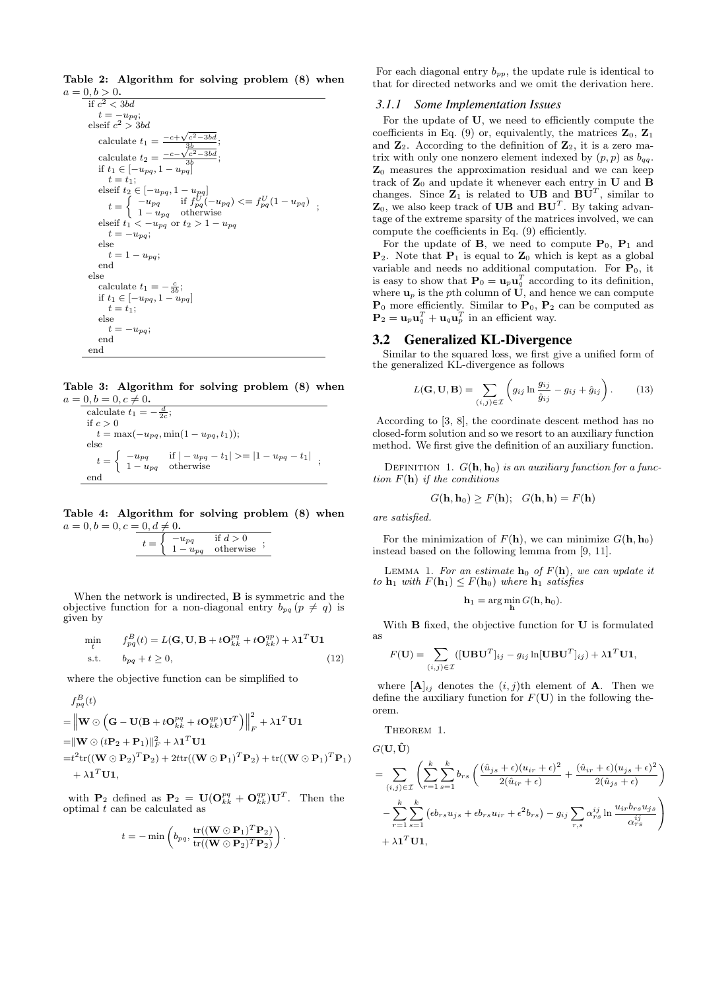Table 2: Algorithm for solving problem (8) when  $a = 0, b > 0.$ 

```
if c^2 < 3bdt = -u_{pq};<br>elseif c^2 > 3bdcalculate t_1 =-c+√
                                              c
                                                   2−3bd
                                             3b
                                                           ;
     calculate t_2 =-c-√
                                              c
                                                  -3bdif t_1 \in [-u_{pq}, 1 - u_{pq}];
         t = t_1;
     elseif t_2 \in [-u_{pq}, 1 - u_{pq}]t = \begin{cases} -u_{pq} & \text{if } f_{pq}^U(-u_{pq}) \leq f_{pq}^U(1-u_{pq}) \\ 1-u_{pq} & \text{otherwise} \end{cases};
     t = \left\{ \begin{array}{ll} -u_{pq} & \text{if } f_{pq}^U(-u_{pq}) \\ 1-u_{pq} & \text{otherwise} \end{array} \right. \nonumber \\ \text{elseif } t_1 < -u_{pq} \text{ or } t_2 > 1-u_{pq}t = -u_{pq};else
        t = 1 - u_{pq};end
else
     calculate t_1 = -\frac{c}{3b};
    if t_1 ∈ [-u_{pq}, 1 - u_{pq}]t = t_1;else
         t = -u_{pq};end
end
```
Table 3: Algorithm for solving problem (8) when  $a = 0, b = 0, c \neq 0$ .

calculate 
$$
t_1 = -\frac{d}{2c}
$$
;  
\nif  $c > 0$   
\n $t = \max(-u_{pq}, \min(1 - u_{pq}, t_1));$   
\nelse  
\n $t = \begin{cases}\n-u_{pq} & \text{if } |-u_{pq} - t_1| > = |1 - u_{pq} - t_1| \\
1 - u_{pq} & \text{otherwise}\n\end{cases}$ ;

Table 4: Algorithm for solving problem (8) when  $a=0, b=0, c=0, d\neq 0.$ 

When the network is undirected, **B** is symmetric and the objective function for a non-diagonal entry  $b_{pq}$  ( $p \neq q$ ) is given by

$$
\begin{aligned}\n\min_{t} \qquad & f_{pq}^{B}(t) = L(\mathbf{G}, \mathbf{U}, \mathbf{B} + t\mathbf{O}_{kk}^{pq} + t\mathbf{O}_{kk}^{qp}) + \lambda \mathbf{1}^{T} \mathbf{U} \mathbf{1} \\
\text{s.t.} \qquad & b_{pq} + t \ge 0,\n\end{aligned} \tag{12}
$$

where the objective function can be simplified to

$$
f_{pq}^{B}(t)
$$
\n
$$
= \left\| \mathbf{W} \odot (\mathbf{G} - \mathbf{U}(\mathbf{B} + t\mathbf{O}_{kk}^{pq} + t\mathbf{O}_{kk}^{qp})\mathbf{U}^{T}) \right\|_{F}^{2} + \lambda \mathbf{1}^{T} \mathbf{U} \mathbf{1}
$$
\n
$$
= \|\mathbf{W} \odot (t\mathbf{P}_{2} + \mathbf{P}_{1})\|_{F}^{2} + \lambda \mathbf{1}^{T} \mathbf{U} \mathbf{1}
$$
\n
$$
= t^{2} \text{tr}((\mathbf{W} \odot \mathbf{P}_{2})^{T} \mathbf{P}_{2}) + 2t \text{tr}((\mathbf{W} \odot \mathbf{P}_{1})^{T} \mathbf{P}_{2}) + \text{tr}((\mathbf{W} \odot \mathbf{P}_{1})^{T} \mathbf{P}_{1})
$$
\n
$$
+ \lambda \mathbf{1}^{T} \mathbf{U} \mathbf{1},
$$

with  $P_2$  defined as  $P_2 = U(O_{kk}^{pq} + O_{kk}^{qp})U^T$ . Then the optimal  $t$  can be calculated as

$$
t=-\min\left(b_{pq},\frac{\mathrm{tr}((\mathbf{W}\odot\mathbf{P}_1)^T\mathbf{P}_2)}{\mathrm{tr}((\mathbf{W}\odot\mathbf{P}_2)^T\mathbf{P}_2)}\right).
$$

For each diagonal entry  $b_{pp}$ , the update rule is identical to that for directed networks and we omit the derivation here.

#### *3.1.1 Some Implementation Issues*

For the update of U, we need to efficiently compute the coefficients in Eq. (9) or, equivalently, the matrices  $\mathbf{Z}_0$ ,  $\mathbf{Z}_1$ and  $\mathbb{Z}_2$ . According to the definition of  $\mathbb{Z}_2$ , it is a zero matrix with only one nonzero element indexed by  $(p, p)$  as  $b_{qq}$ .  $\mathbf{Z}_0$  measures the approximation residual and we can keep track of  $\mathbb{Z}_0$  and update it whenever each entry in  $\mathbf U$  and  $\mathbf B$ changes. Since  $\mathbf{Z}_1$  is related to UB and  $\mathbf{B}\mathbf{U}^T$ , similar to  $\mathbf{Z}_0$ , we also keep track of UB and  $\mathbf{B}\mathbf{U}^T$ . By taking advantage of the extreme sparsity of the matrices involved, we can compute the coefficients in Eq. (9) efficiently.

For the update of **B**, we need to compute  $P_0$ ,  $P_1$  and  $\mathbf{P}_2$ . Note that  $\mathbf{P}_1$  is equal to  $\mathbf{Z}_0$  which is kept as a global variable and needs no additional computation. For  $P_0$ , it is easy to show that  $P_0 = \mathbf{u}_p \mathbf{u}_q^T$  according to its definition, where  $\mathbf{u}_p$  is the pth column of  $\mathbf{U}$ , and hence we can compute  $P_0$  more efficiently. Similar to  $P_0$ ,  $P_2$  can be computed as  $\mathbf{P}_2 = \mathbf{u}_p \mathbf{u}_q^T + \mathbf{u}_q \mathbf{u}_p^T$  in an efficient way.

## 3.2 Generalized KL-Divergence

Similar to the squared loss, we first give a unified form of the generalized KL-divergence as follows

$$
L(\mathbf{G}, \mathbf{U}, \mathbf{B}) = \sum_{(i,j)\in\mathcal{I}} \left( g_{ij} \ln \frac{g_{ij}}{\hat{g}_{ij}} - g_{ij} + \hat{g}_{ij} \right). \tag{13}
$$

According to [3, 8], the coordinate descent method has no closed-form solution and so we resort to an auxiliary function method. We first give the definition of an auxiliary function.

DEFINITION 1.  $G(\mathbf{h}, \mathbf{h}_0)$  *is an auxiliary function for a function* F(h) *if the conditions*

$$
G(\mathbf{h}, \mathbf{h}_0) \ge F(\mathbf{h}); \quad G(\mathbf{h}, \mathbf{h}) = F(\mathbf{h})
$$

*are satisfied.*

For the minimization of  $F(\mathbf{h})$ , we can minimize  $G(\mathbf{h}, \mathbf{h}_0)$ instead based on the following lemma from [9, 11].

LEMMA 1. For an estimate  $h_0$  of  $F(h)$ , we can update it *to*  $\mathbf{h}_1$  *with*  $F(\mathbf{h}_1) \leq F(\mathbf{h}_0)$  *where*  $\mathbf{h}_1$  *satisfies* 

$$
\mathbf{h}_1 = \arg\min_{\mathbf{h}} G(\mathbf{h}, \mathbf{h}_0).
$$

With **B** fixed, the objective function for **U** is formulated as

$$
F(\mathbf{U}) = \sum_{(i,j) \in \mathcal{I}} ([\mathbf{UBU}^T]_{ij} - g_{ij} \ln[\mathbf{UBU}^T]_{ij}) + \lambda \mathbf{1}^T \mathbf{U} \mathbf{1},
$$

where  $[\mathbf{A}]_{ij}$  denotes the  $(i, j)$ th element of **A**. Then we define the auxiliary function for  $F(\mathbf{U})$  in the following theorem.

Theorem 1.

$$
G(\mathbf{U}, \hat{\mathbf{U}})
$$
  
= 
$$
\sum_{(i,j)\in\mathcal{I}} \left( \sum_{r=1}^{k} \sum_{s=1}^{k} b_{rs} \left( \frac{(\hat{u}_{js} + \epsilon)(u_{ir} + \epsilon)^{2}}{2(\hat{u}_{ir} + \epsilon)} + \frac{(\hat{u}_{ir} + \epsilon)(u_{js} + \epsilon)^{2}}{2(\hat{u}_{js} + \epsilon)} \right) - \sum_{r=1}^{k} \sum_{s=1}^{k} (\epsilon b_{rs} u_{js} + \epsilon b_{rs} u_{ir} + \epsilon^{2} b_{rs}) - g_{ij} \sum_{r,s} \alpha_{rs}^{ij} \ln \frac{u_{ir} b_{rs} u_{js}}{\alpha_{rs}^{ij}} + \lambda \mathbf{1}^{T} \mathbf{U} \mathbf{1},
$$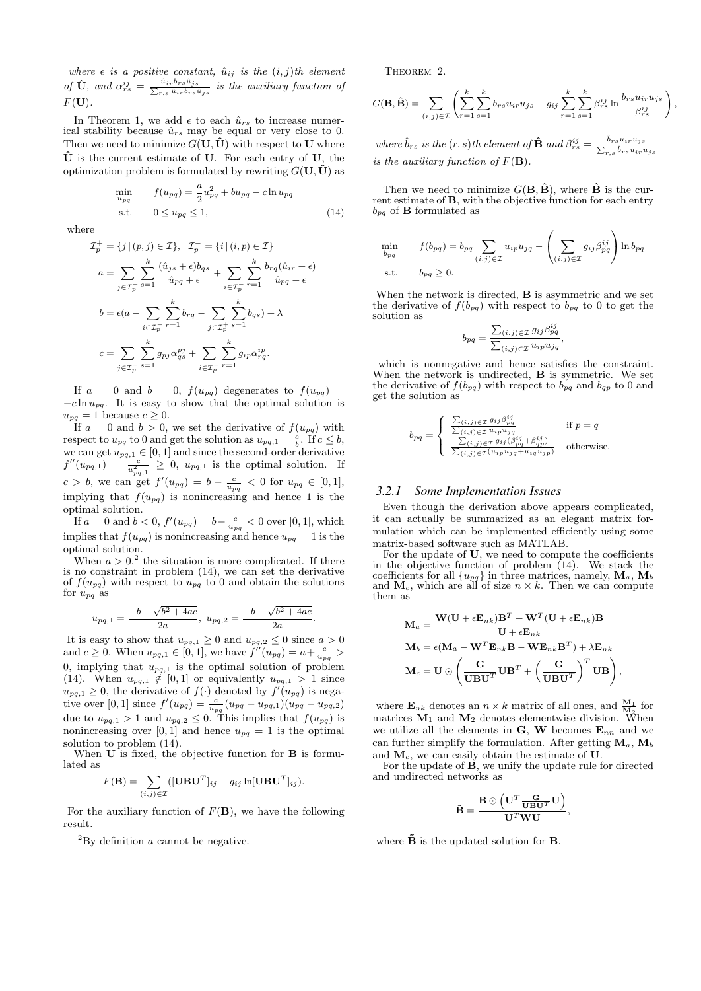*where*  $\epsilon$  *is a* positive constant,  $\hat{u}_{ij}$  *is the*  $(i, j)$ *th element of*  $\hat{\mathbf{U}}$ *, and*  $\alpha_{rs}^{ij} = \frac{\hat{u}_{ir}b_{rs}\hat{u}_{js}}{\sum_{r,s}\hat{u}_{ir}b_{rs}i}$  $\frac{u_{ir}v_{rs}u_{js}}{r,s}\frac{u_{ir}v_{rs}\hat{u}_{js}}{i}$  is the auxiliary function of  $F(U)$ .

In Theorem 1, we add  $\epsilon$  to each  $\hat{u}_{rs}$  to increase numerical stability because  $\hat{u}_{rs}$  may be equal or very close to 0. Then we need to minimize  $G(U, \tilde{U})$  with respect to U where  $\hat{U}$  is the current estimate of U. For each entry of U, the optimization problem is formulated by rewriting  $G(\mathbf{U}, \hat{\mathbf{U}})$  as

$$
\min_{u_{pq}} f(u_{pq}) = \frac{a}{2}u_{pq}^2 + bu_{pq} - c \ln u_{pq} \n\text{s.t.} \quad 0 \le u_{pq} \le 1,
$$
\n(14)

where

$$
\mathcal{I}_p^+ = \{j \mid (p, j) \in \mathcal{I}\}, \quad \mathcal{I}_p^- = \{i \mid (i, p) \in \mathcal{I}\}
$$
\n
$$
a = \sum_{j \in \mathcal{I}_p^+} \sum_{s=1}^k \frac{(\hat{u}_{js} + \epsilon) b_{qs}}{\hat{u}_{pq} + \epsilon} + \sum_{i \in \mathcal{I}_p^-} \sum_{r=1}^k \frac{b_{rq}(\hat{u}_{ir} + \epsilon)}{\hat{u}_{pq} + \epsilon}
$$
\n
$$
b = \epsilon(a - \sum_{i \in \mathcal{I}_p^-} \sum_{r=1}^k b_{rq} - \sum_{j \in \mathcal{I}_p^+} \sum_{s=1}^k b_{qs}) + \lambda
$$
\n
$$
c = \sum_{j \in \mathcal{I}_p^+} \sum_{s=1}^k g_{pj} \alpha_{qs}^{pj} + \sum_{i \in \mathcal{I}_p^-} \sum_{r=1}^k g_{ip} \alpha_{rq}^{ip}.
$$

If  $a = 0$  and  $b = 0$ ,  $f(u_{pq})$  degenerates to  $f(u_{pq}) =$  $-c \ln u_{pq}$ . It is easy to show that the optimal solution is  $u_{pq} = 1$  because  $c \geq 0$ .

If  $a = 0$  and  $b > 0$ , we set the derivative of  $f(u_{pq})$  with respect to  $u_{pq}$  to 0 and get the solution as  $u_{pq,1} = \frac{c}{b}$ . If  $c \leq b$ , we can get  $u_{pq,1} \in [0,1]$  and since the second-order derivative  $f''(u_{pq,1}) = \frac{c}{u_{pq,1}^2} \geq 0$ ,  $u_{pq,1}$  is the optimal solution. If  $c > b$ , we can get  $f'(u_{pq}) = b - \frac{c}{u_{pq}} < 0$  for  $u_{pq} \in [0,1]$ , implying that  $f(u_{pq})$  is nonincreasing and hence 1 is the optimal solution.

If  $a = 0$  and  $b < 0$ ,  $f'(u_{pq}) = b - \frac{c}{u_{pq}} < 0$  over [0, 1], which implies that  $f(u_{pq})$  is nonincreasing and hence  $u_{pq} = 1$  is the optimal solution.

When  $a > 0$ ,<sup>2</sup> the situation is more complicated. If there is no constraint in problem (14), we can set the derivative of  $f(u_{pq})$  with respect to  $u_{pq}$  to 0 and obtain the solutions for  $u_{pq}$  as

$$
u_{pq,1} = \frac{-b + \sqrt{b^2 + 4ac}}{2a}, \ u_{pq,2} = \frac{-b - \sqrt{b^2 + 4ac}}{2a}
$$

.

It is easy to show that  $u_{pq,1} \geq 0$  and  $u_{pq,2} \leq 0$  since  $a > 0$ and  $c \ge 0$ . When  $u_{pq,1} \in [0,1]$ , we have  $f''(u_{pq}) = a + \frac{c}{u_{pq}} >$ 0, implying that  $u_{pq,1}$  is the optimal solution of problem (14). When  $u_{pq,1} \notin [0,1]$  or equivalently  $u_{pq,1} > 1$  since  $u_{pq,1} \geq 0$ , the derivative of  $f(\cdot)$  denoted by  $\hat{f}(u_{pq})$  is negative over [0, 1] since  $f'(u_{pq}) = \frac{a}{u_{pq}}(u_{pq} - u_{pq,1})(u_{pq} - u_{pq,2})$ due to  $u_{pq,1} > 1$  and  $u_{pq,2} \leq 0$ . This implies that  $f(u_{pq})$  is nonincreasing over  $[0, 1]$  and hence  $u_{pq} = 1$  is the optimal solution to problem (14).

When  $\mathbf U$  is fixed, the objective function for  $\mathbf B$  is formulated as

$$
F(\mathbf{B}) = \sum_{(i,j)\in\mathcal{I}} ([\mathbf{UBU}^T]_{ij} - g_{ij} \ln[\mathbf{UBU}^T]_{ij}).
$$

For the auxiliary function of  $F(\mathbf{B})$ , we have the following result.

THEOREM 2.

$$
G(\mathbf{B}, \hat{\mathbf{B}}) = \sum_{(i,j) \in \mathcal{I}} \left( \sum_{r=1}^{k} \sum_{s=1}^{k} b_{rs} u_{ir} u_{js} - g_{ij} \sum_{r=1}^{k} \sum_{s=1}^{k} \beta_{rs}^{ij} \ln \frac{b_{rs} u_{ir} u_{js}}{\beta_{rs}^{ij}} \right)
$$

,

 $where \hat{b}_{rs}$  *is the*  $(r, s)$ *th element of*  $\hat{\mathbf{B}}$  *and*  $\beta_{rs}^{ij} = \frac{\hat{b}_{rs}u_{ir}u_{js}}{\sum_{r s} \hat{b}_{rs}u_{ir}v_{js}}$  $_{r,s}$   $_{brs}$   $_{i r}$   $_{i s}$ *is* the *auxiliary function of*  $F(B)$ *.* 

Then we need to minimize  $G(\mathbf{B}, \hat{\mathbf{B}})$ , where  $\hat{\mathbf{B}}$  is the current estimate of B, with the objective function for each entry  $b_{pq}$  of **B** formulated as

$$
\min_{b_{pq}} \qquad f(b_{pq}) = b_{pq} \sum_{(i,j) \in \mathcal{I}} u_{ip} u_{jq} - \left( \sum_{(i,j) \in \mathcal{I}} g_{ij} \beta_{pq}^{ij} \right) \ln b_{pq}
$$
\n
$$
\text{s.t.} \qquad b_{pq} \ge 0.
$$

When the network is directed, **B** is asymmetric and we set the derivative of  $f(b_{pq})$  with respect to  $b_{pq}$  to 0 to get the solution as

$$
b_{pq} = \frac{\sum_{(i,j) \in \mathcal{I}} g_{ij} \beta_{pq}^{ij}}{\sum_{(i,j) \in \mathcal{I}} u_{ip} u_{jq}},
$$

which is nonnegative and hence satisfies the constraint. When the network is undirected, B is symmetric. We set the derivative of  $f(b_{pq})$  with respect to  $b_{pq}$  and  $b_{qp}$  to 0 and get the solution as

$$
b_{pq} = \begin{cases} \frac{\sum_{(i,j) \in \mathcal{I}} g_{ij} \beta_{pq}^{ij}}{\sum_{(i,j) \in \mathcal{I}} u_{ip} u_{jq}} & \text{if } p = q\\ \frac{\sum_{(i,j) \in \mathcal{I}} g_{ij} (\beta_{pq}^{ij} + \beta_{qp}^{ij})}{\sum_{(i,j) \in \mathcal{I}} (u_{ip} u_{jq} + u_{iq} u_{jp})} & \text{otherwise.} \end{cases}
$$

#### *3.2.1 Some Implementation Issues*

Even though the derivation above appears complicated, it can actually be summarized as an elegant matrix formulation which can be implemented efficiently using some matrix-based software such as MATLAB.

For the update of U, we need to compute the coefficients in the objective function of problem  $(14)$ . We stack the coefficients for all  $\{u_{pq}\}\$  in three matrices, namely,  $\mathbf{M}_a$ ,  $\mathbf{M}_b$ and  $\mathbf{M}_c$ , which are all of size  $n \times k$ . Then we can compute them as

$$
\begin{aligned} \mathbf{M}_a &= \frac{\mathbf{W}(\mathbf{U}+\epsilon\mathbf{E}_{nk})\mathbf{B}^T+\mathbf{W}^T(\mathbf{U}+\epsilon\mathbf{E}_{nk})\mathbf{B}}{\mathbf{U}+\epsilon\mathbf{E}_{nk}}\\ \mathbf{M}_b &= \epsilon(\mathbf{M}_a-\mathbf{W}^T\mathbf{E}_{nk}\mathbf{B}-\mathbf{W}\mathbf{E}_{nk}\mathbf{B}^T)+\lambda\mathbf{E}_{nk}\\ \mathbf{M}_c &= \mathbf{U} \odot \left(\frac{\mathbf{G}}{\mathbf{U}\mathbf{B}\mathbf{U}^T}\mathbf{U}\mathbf{B}^T+\left(\frac{\mathbf{G}}{\mathbf{U}\mathbf{B}\mathbf{U}^T}\right)^T\mathbf{U}\mathbf{B}\right), \end{aligned}
$$

where  $\mathbf{E}_{nk}$  denotes an  $n \times k$  matrix of all ones, and  $\frac{M_1}{M_2}$  for matrices  $M_1$  and  $M_2$  denotes elementwise division. When we utilize all the elements in  $\mathbf{G}, \mathbf{W}$  becomes  $\mathbf{E}_{nn}$  and we can further simplify the formulation. After getting  $M_a$ ,  $M_b$ and  $M_c$ , we can easily obtain the estimate of U.

For the update of  $\tilde{B}$ , we unify the update rule for directed and undirected networks as

$$
\tilde{\mathbf{B}} = \frac{\mathbf{B} \odot \left( \mathbf{U}^T \frac{\mathbf{G}}{\mathbf{U} \mathbf{B} \mathbf{U}^T} \mathbf{U} \right)}{\mathbf{U}^T \mathbf{W} \mathbf{U}},
$$

where  $\tilde{\mathbf{B}}$  is the updated solution for  $\mathbf{B}$ .

 ${}^{2}$ By definition *a* cannot be negative.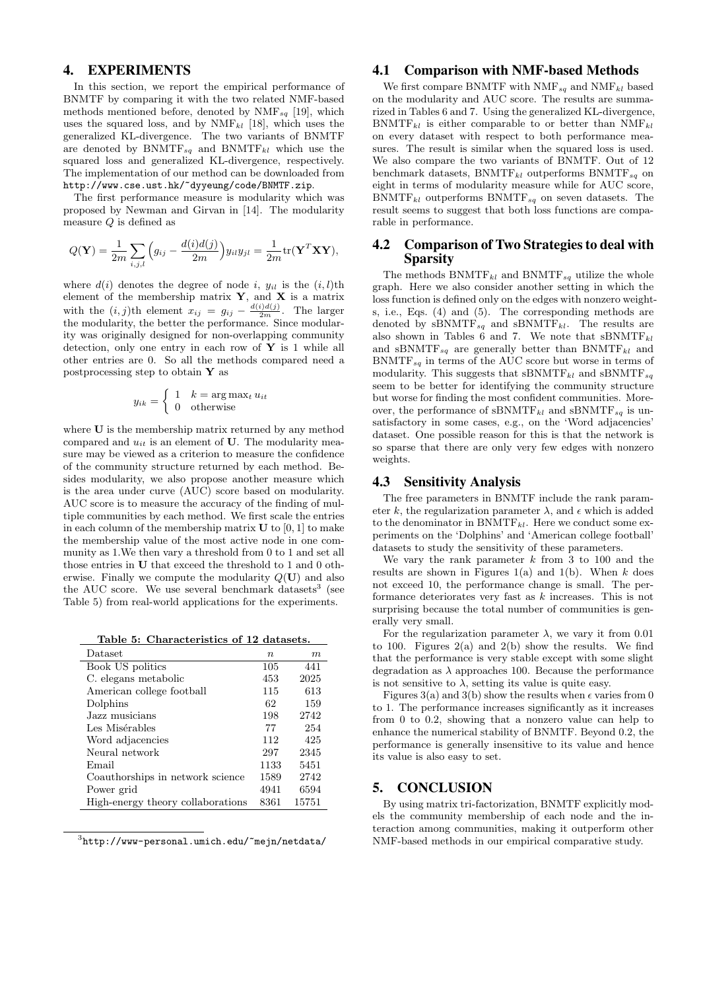# 4. EXPERIMENTS

In this section, we report the empirical performance of BNMTF by comparing it with the two related NMF-based methods mentioned before, denoted by  $NMF_{sq}$  [19], which uses the squared loss, and by  $NMF_{kl}$  [18], which uses the generalized KL-divergence. The two variants of BNMTF are denoted by  $B\text{NMTF}_{sq}$  and  $B\text{NMTF}_{kl}$  which use the squared loss and generalized KL-divergence, respectively. The implementation of our method can be downloaded from http://www.cse.ust.hk/~dyyeung/code/BNMTF.zip.

The first performance measure is modularity which was proposed by Newman and Girvan in [14]. The modularity measure Q is defined as

$$
Q(\mathbf{Y}) = \frac{1}{2m} \sum_{i,j,l} \left( g_{ij} - \frac{d(i)d(j)}{2m} \right) y_{il} y_{jl} = \frac{1}{2m} tr(\mathbf{Y}^T \mathbf{X} \mathbf{Y}),
$$

where  $d(i)$  denotes the degree of node i,  $y_{il}$  is the  $(i, l)$ th element of the membership matrix  $\mathbf{Y}$ , and  $\mathbf{X}$  is a matrix with the  $(i, j)$ th element  $x_{ij} = g_{ij} - \frac{d(i)d(j)}{2m}$ . The larger the modularity, the better the performance. Since modularity was originally designed for non-overlapping community detection, only one entry in each row of  $Y$  is 1 while all other entries are 0. So all the methods compared need a postprocessing step to obtain  $\mathbf Y$  as

$$
y_{ik} = \begin{cases} 1 & k = \arg\max_t u_{it} \\ 0 & \text{otherwise} \end{cases}
$$

where **U** is the membership matrix returned by any method compared and  $u_{it}$  is an element of U. The modularity measure may be viewed as a criterion to measure the confidence of the community structure returned by each method. Besides modularity, we also propose another measure which is the area under curve (AUC) score based on modularity. AUC score is to measure the accuracy of the finding of multiple communities by each method. We first scale the entries in each column of the membership matrix  $U$  to [0, 1] to make the membership value of the most active node in one community as 1.We then vary a threshold from 0 to 1 and set all those entries in U that exceed the threshold to 1 and 0 otherwise. Finally we compute the modularity  $Q(\mathbf{U})$  and also the AUC score. We use several benchmark datasets<sup>3</sup> (see Table 5) from real-world applications for the experiments.

Table 5: Characteristics of 12 datasets.

| Dataset                           | $n_{\rm c}$ | m     |
|-----------------------------------|-------------|-------|
| Book US politics                  | 105         | 441   |
| C. elegans metabolic              | 453         | 2025  |
| American college football         | 115         | 613   |
| Dolphins                          | 62          | 159   |
| Jazz musicians.                   | 198         | 2742  |
| Les Misérables                    | 77          | 254   |
| Word adjacencies                  | 112         | 425   |
| Neural network                    | 297         | 2345  |
| Email                             | 1133        | 5451  |
| Coauthorships in network science  | 1589        | 2742  |
| Power grid                        | 4941        | 6594  |
| High-energy theory collaborations | 8361        | 15751 |

 $^3$ http://www-personal.umich.edu/~mejn/netdata/

## 4.1 Comparison with NMF-based Methods

We first compare BNMTF with  $\text{NMF}_{sq}$  and  $\text{NMF}_{kl}$  based on the modularity and AUC score. The results are summarized in Tables 6 and 7. Using the generalized KL-divergence,  $B\text{NMTF}_{kl}$  is either comparable to or better than  $\text{NMF}_{kl}$ on every dataset with respect to both performance measures. The result is similar when the squared loss is used. We also compare the two variants of BNMTF. Out of 12 benchmark datasets,  $\text{BNMTF}_{kl}$  outperforms  $\text{BNMTF}_{sa}$  on eight in terms of modularity measure while for AUC score,  $B\text{NMTF}_{kl}$  outperforms  $B\text{NMTF}_{sa}$  on seven datasets. The result seems to suggest that both loss functions are comparable in performance.

## 4.2 Comparison of Two Strategies to deal with Sparsity

The methods  $\text{BNMTF}_{kl}$  and  $\text{BNMTF}_{sq}$  utilize the whole graph. Here we also consider another setting in which the loss function is defined only on the edges with nonzero weights, i.e., Eqs. (4) and (5). The corresponding methods are denoted by  $sB\text{NMTF}_{sq}$  and  $sB\text{NMTF}_{kl}$ . The results are also shown in Tables 6 and 7. We note that  $sBNMTF_{kl}$ and sBNMTF<sub>sq</sub> are generally better than BNMTF<sub>kl</sub> and  $B\text{NMTF}_{sq}$  in terms of the AUC score but worse in terms of modularity. This suggests that sBNMTF<sub>kl</sub> and sBNMTF<sub>sq</sub> seem to be better for identifying the community structure but worse for finding the most confident communities. Moreover, the performance of sBNMTF<sub>kl</sub> and sBNMTF<sub>sq</sub> is unsatisfactory in some cases, e.g., on the 'Word adjacencies' dataset. One possible reason for this is that the network is so sparse that there are only very few edges with nonzero weights.

## 4.3 Sensitivity Analysis

The free parameters in BNMTF include the rank parameter k, the regularization parameter  $\lambda$ , and  $\epsilon$  which is added to the denominator in  $B\text{NMTF}_{kl}$ . Here we conduct some experiments on the 'Dolphins' and 'American college football' datasets to study the sensitivity of these parameters.

We vary the rank parameter  $k$  from 3 to 100 and the results are shown in Figures 1(a) and 1(b). When  $k$  does not exceed 10, the performance change is small. The performance deteriorates very fast as k increases. This is not surprising because the total number of communities is generally very small.

For the regularization parameter  $\lambda$ , we vary it from 0.01 to 100. Figures  $2(a)$  and  $2(b)$  show the results. We find that the performance is very stable except with some slight degradation as  $\lambda$  approaches 100. Because the performance is not sensitive to  $\lambda$ , setting its value is quite easy.

Figures 3(a) and 3(b) show the results when  $\epsilon$  varies from 0 to 1. The performance increases significantly as it increases from 0 to 0.2, showing that a nonzero value can help to enhance the numerical stability of BNMTF. Beyond 0.2, the performance is generally insensitive to its value and hence its value is also easy to set.

#### 5. CONCLUSION

By using matrix tri-factorization, BNMTF explicitly models the community membership of each node and the interaction among communities, making it outperform other NMF-based methods in our empirical comparative study.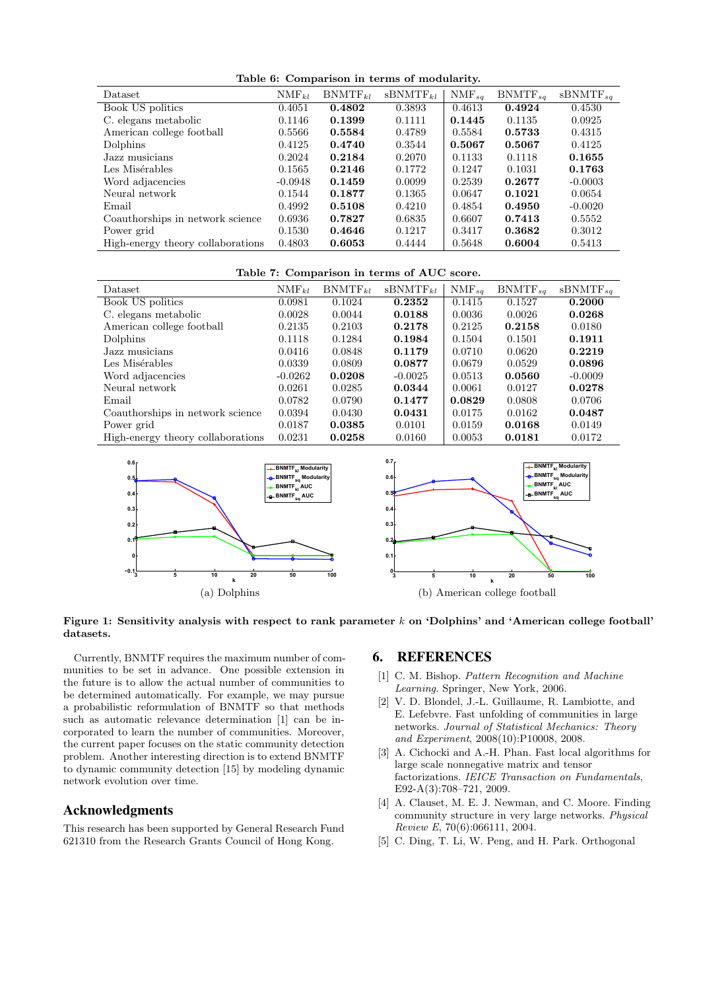Table 6: Comparison in terms of modularity.

| Dataset                           | $\text{NMF}_{kl}$ | $BNMTF_{kl}$ | $sBNMTF_{kl}$ | $NMF_{sa}$ | $BNMTF_{sa}$ | $sBNMTF_{sq}$ |
|-----------------------------------|-------------------|--------------|---------------|------------|--------------|---------------|
| Book US politics                  | 0.4051            | 0.4802       | 0.3893        | 0.4613     | 0.4924       | 0.4530        |
| C. elegans metabolic              | 0.1146            | 0.1399       | 0.1111        | 0.1445     | 0.1135       | 0.0925        |
| American college football         | 0.5566            | 0.5584       | 0.4789        | 0.5584     | 0.5733       | 0.4315        |
| Dolphins                          | 0.4125            | 0.4740       | 0.3544        | 0.5067     | 0.5067       | 0.4125        |
| Jazz musicians                    | 0.2024            | 0.2184       | 0.2070        | 0.1133     | 0.1118       | 0.1655        |
| Les Misérables                    | 0.1565            | 0.2146       | 0.1772        | 0.1247     | 0.1031       | 0.1763        |
| Word adjacencies                  | $-0.0948$         | 0.1459       | 0.0099        | 0.2539     | 0.2677       | $-0.0003$     |
| Neural network                    | 0.1544            | 0.1877       | 0.1365        | 0.0647     | 0.1021       | 0.0654        |
| Email                             | 0.4992            | 0.5108       | 0.4210        | 0.4854     | 0.4950       | $-0.0020$     |
| Coauthorships in network science  | 0.6936            | 0.7827       | 0.6835        | 0.6607     | 0.7413       | 0.5552        |
| Power grid                        | 0.1530            | 0.4646       | 0.1217        | 0.3417     | 0.3682       | 0.3012        |
| High-energy theory collaborations | 0.4803            | 0.6053       | 0.4444        | 0.5648     | 0.6004       | 0.5413        |

#### Table 7: Comparison in terms of AUC score.

| Dataset                           | $\text{NMF}_{kl}$ | $BNMTF_{kl}$ | $sBNMTF_{kl}$ | $\text{NMF}_{sq}$ | $BNMTF_{sa}$ | $sBNMTF_{sa}$ |
|-----------------------------------|-------------------|--------------|---------------|-------------------|--------------|---------------|
| Book US politics                  | 0.0981            | 0.1024       | 0.2352        | 0.1415            | 0.1527       | 0.2000        |
| C. elegans metabolic              | 0.0028            | 0.0044       | 0.0188        | 0.0036            | 0.0026       | 0.0268        |
| American college football         | 0.2135            | 0.2103       | 0.2178        | 0.2125            | 0.2158       | 0.0180        |
| Dolphins                          | 0.1118            | 0.1284       | 0.1984        | 0.1504            | 0.1501       | 0.1911        |
| Jazz musicians                    | 0.0416            | 0.0848       | 0.1179        | 0.0710            | 0.0620       | 0.2219        |
| Les Misérables                    | 0.0339            | 0.0809       | 0.0877        | 0.0679            | 0.0529       | 0.0896        |
| Word adjacencies                  | $-0.0262$         | 0.0208       | $-0.0025$     | 0.0513            | 0.0560       | $-0.0009$     |
| Neural network                    | 0.0261            | 0.0285       | 0.0344        | 0.0061            | 0.0127       | 0.0278        |
| Email                             | 0.0782            | 0.0790       | 0.1477        | 0.0829            | 0.0808       | 0.0706        |
| Coauthorships in network science  | 0.0394            | 0.0430       | 0.0431        | 0.0175            | 0.0162       | 0.0487        |
| Power grid                        | 0.0187            | 0.0385       | 0.0101        | 0.0159            | 0.0168       | 0.0149        |
| High-energy theory collaborations | 0.0231            | 0.0258       | 0.0160        | 0.0053            | 0.0181       | 0.0172        |



Figure 1: Sensitivity analysis with respect to rank parameter k on 'Dolphins' and 'American college football' datasets.

Currently, BNMTF requires the maximum number of communities to be set in advance. One possible extension in the future is to allow the actual number of communities to be determined automatically. For example, we may pursue a probabilistic reformulation of BNMTF so that methods such as automatic relevance determination [1] can be incorporated to learn the number of communities. Moreover, the current paper focuses on the static community detection problem. Another interesting direction is to extend BNMTF to dynamic community detection [15] by modeling dynamic network evolution over time.

## Acknowledgments

This research has been supported by General Research Fund 621310 from the Research Grants Council of Hong Kong.

#### 6. REFERENCES

- [1] C. M. Bishop. *Pattern Recognition and Machine Learning*. Springer, New York, 2006.
- [2] V. D. Blondel, J.-L. Guillaume, R. Lambiotte, and E. Lefebvre. Fast unfolding of communities in large networks. *Journal of Statistical Mechanics: Theory and Experiment*, 2008(10):P10008, 2008.
- [3] A. Cichocki and A.-H. Phan. Fast local algorithms for large scale nonnegative matrix and tensor factorizations. *IEICE Transaction on Fundamentals*, E92-A(3):708–721, 2009.
- [4] A. Clauset, M. E. J. Newman, and C. Moore. Finding community structure in very large networks. *Physical Review E*, 70(6):066111, 2004.
- [5] C. Ding, T. Li, W. Peng, and H. Park. Orthogonal